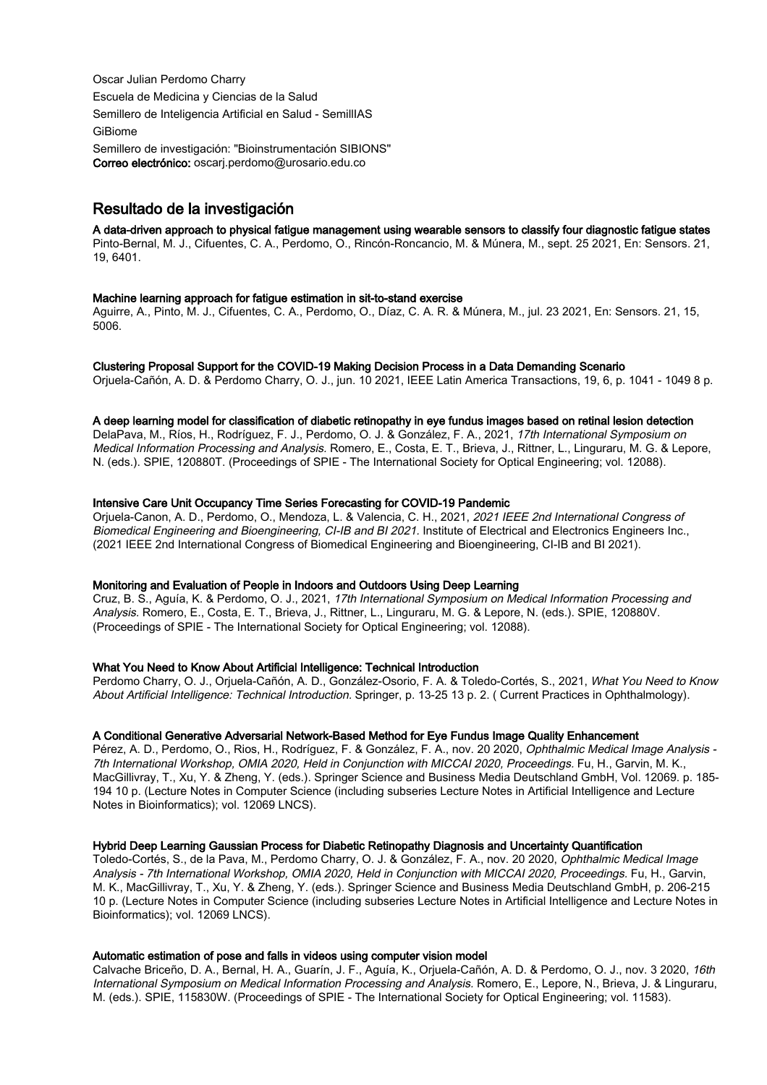Oscar Julian Perdomo Charry Escuela de Medicina y Ciencias de la Salud Semillero de Inteligencia Artificial en Salud - SemillIAS GiBiome Semillero de investigación: "Bioinstrumentación SIBIONS" Correo electrónico: oscarj.perdomo@urosario.edu.co

# Resultado de la investigación

## A data-driven approach to physical fatigue management using wearable sensors to classify four diagnostic fatigue states

Pinto-Bernal, M. J., Cifuentes, C. A., Perdomo, O., Rincón-Roncancio, M. & Múnera, M., sept. 25 2021, En: Sensors. 21, 19, 6401.

## Machine learning approach for fatigue estimation in sit-to-stand exercise

Aguirre, A., Pinto, M. J., Cifuentes, C. A., Perdomo, O., Díaz, C. A. R. & Múnera, M., jul. 23 2021, En: Sensors. 21, 15, 5006.

#### Clustering Proposal Support for the COVID-19 Making Decision Process in a Data Demanding Scenario

Orjuela-Cañón, A. D. & Perdomo Charry, O. J., jun. 10 2021, IEEE Latin America Transactions, 19, 6, p. 1041 - 1049 8 p.

#### A deep learning model for classification of diabetic retinopathy in eye fundus images based on retinal lesion detection

DelaPava, M., Ríos, H., Rodríguez, F. J., Perdomo, O. J. & González, F. A., 2021, 17th International Symposium on Medical Information Processing and Analysis. Romero, E., Costa, E. T., Brieva, J., Rittner, L., Linguraru, M. G. & Lepore, N. (eds.). SPIE, 120880T. (Proceedings of SPIE - The International Society for Optical Engineering; vol. 12088).

## Intensive Care Unit Occupancy Time Series Forecasting for COVID-19 Pandemic

Orjuela-Canon, A. D., Perdomo, O., Mendoza, L. & Valencia, C. H., 2021, 2021 IEEE 2nd International Congress of Biomedical Engineering and Bioengineering, CI-IB and BI 2021. Institute of Electrical and Electronics Engineers Inc., (2021 IEEE 2nd International Congress of Biomedical Engineering and Bioengineering, CI-IB and BI 2021).

## Monitoring and Evaluation of People in Indoors and Outdoors Using Deep Learning

Cruz, B. S., Aguía, K. & Perdomo, O. J., 2021, 17th International Symposium on Medical Information Processing and Analysis. Romero, E., Costa, E. T., Brieva, J., Rittner, L., Linguraru, M. G. & Lepore, N. (eds.). SPIE, 120880V. (Proceedings of SPIE - The International Society for Optical Engineering; vol. 12088).

## What You Need to Know About Artificial Intelligence: Technical Introduction

Perdomo Charry, O. J., Orjuela-Cañón, A. D., González-Osorio, F. A. & Toledo-Cortés, S., 2021, What You Need to Know About Artificial Intelligence: Technical Introduction. Springer, p. 13-25 13 p. 2. ( Current Practices in Ophthalmology).

## A Conditional Generative Adversarial Network-Based Method for Eye Fundus Image Quality Enhancement

Pérez, A. D., Perdomo, O., Rios, H., Rodríguez, F. & González, F. A., nov. 20 2020, Ophthalmic Medical Image Analysis -7th International Workshop, OMIA 2020, Held in Conjunction with MICCAI 2020, Proceedings. Fu, H., Garvin, M. K., MacGillivray, T., Xu, Y. & Zheng, Y. (eds.). Springer Science and Business Media Deutschland GmbH, Vol. 12069. p. 185- 194 10 p. (Lecture Notes in Computer Science (including subseries Lecture Notes in Artificial Intelligence and Lecture Notes in Bioinformatics); vol. 12069 LNCS).

## Hybrid Deep Learning Gaussian Process for Diabetic Retinopathy Diagnosis and Uncertainty Quantification

Toledo-Cortés, S., de la Pava, M., Perdomo Charry, O. J. & González, F. A., nov. 20 2020, Ophthalmic Medical Image Analysis - 7th International Workshop, OMIA 2020, Held in Conjunction with MICCAI 2020, Proceedings. Fu, H., Garvin, M. K., MacGillivray, T., Xu, Y. & Zheng, Y. (eds.). Springer Science and Business Media Deutschland GmbH, p. 206-215 10 p. (Lecture Notes in Computer Science (including subseries Lecture Notes in Artificial Intelligence and Lecture Notes in Bioinformatics); vol. 12069 LNCS).

## Automatic estimation of pose and falls in videos using computer vision model

Calvache Briceño, D. A., Bernal, H. A., Guarín, J. F., Aguía, K., Orjuela-Cañón, A. D. & Perdomo, O. J., nov. 3 2020, 16th International Symposium on Medical Information Processing and Analysis. Romero, E., Lepore, N., Brieva, J. & Linguraru, M. (eds.). SPIE, 115830W. (Proceedings of SPIE - The International Society for Optical Engineering; vol. 11583).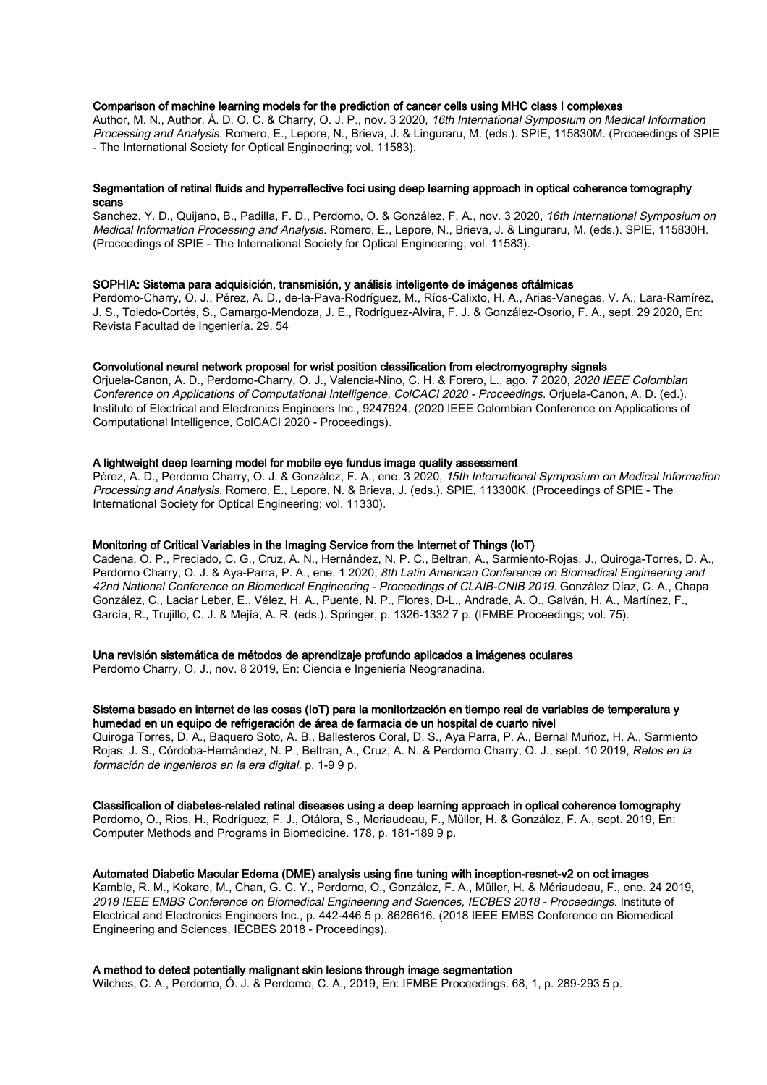## Comparison of machine learning models for the prediction of cancer cells using MHC class I complexes

Author, M. N., Author, Á. D. O. C. & Charry, O. J. P., nov. 3 2020, 16th International Symposium on Medical Information Processing and Analysis. Romero, E., Lepore, N., Brieva, J. & Linguraru, M. (eds.). SPIE, 115830M. (Proceedings of SPIE - The International Society for Optical Engineering; vol. 11583).

## Segmentation of retinal fluids and hyperreflective foci using deep learning approach in optical coherence tomography scans

Sanchez, Y. D., Quijano, B., Padilla, F. D., Perdomo, O. & González, F. A., nov. 3 2020, 16th International Symposium on Medical Information Processing and Analysis. Romero, E., Lepore, N., Brieva, J. & Linguraru, M. (eds.). SPIE, 115830H. (Proceedings of SPIE - The International Society for Optical Engineering; vol. 11583).

## SOPHIA: Sistema para adquisición, transmisión, y análisis inteligente de imágenes oftálmicas

Perdomo-Charry, O. J., Pérez, A. D., de-la-Pava-Rodríguez, M., Ríos-Calixto, H. A., Arias-Vanegas, V. A., Lara-Ramírez, J. S., Toledo-Cortés, S., Camargo-Mendoza, J. E., Rodríguez-Alvira, F. J. & González-Osorio, F. A., sept. 29 2020, En: Revista Facultad de Ingeniería. 29, 54

## Convolutional neural network proposal for wrist position classification from electromyography signals

Oriuela-Canon, A. D., Perdomo-Charry, O. J., Valencia-Nino, C. H. & Forero, L., ago. 7 2020, 2020 IEEE Colombian Conference on Applications of Computational Intelligence, ColCACI 2020 - Proceedings. Orjuela-Canon, A. D. (ed.). Institute of Electrical and Electronics Engineers Inc., 9247924. (2020 IEEE Colombian Conference on Applications of Computational Intelligence, ColCACI 2020 - Proceedings).

#### A lightweight deep learning model for mobile eye fundus image quality assessment

Pérez, A. D., Perdomo Charry, O. J. & González, F. A., ene. 3 2020, 15th International Symposium on Medical Information Processing and Analysis. Romero, E., Lepore, N. & Brieva, J. (eds.). SPIE, 113300K. (Proceedings of SPIE - The International Society for Optical Engineering; vol. 11330).

## Monitoring of Critical Variables in the Imaging Service from the Internet of Things (IoT)

Cadena, O. P., Preciado, C. G., Cruz, A. N., Hernández, N. P. C., Beltran, A., Sarmiento-Rojas, J., Quiroga-Torres, D. A., Perdomo Charry, O. J. & Aya-Parra, P. A., ene. 1 2020, 8th Latin American Conference on Biomedical Engineering and 42nd National Conference on Biomedical Engineering - Proceedings of CLAIB-CNIB 2019. González Díaz, C. A., Chapa González, C., Laciar Leber, E., Vélez, H. A., Puente, N. P., Flores, D-L., Andrade, A. O., Galván, H. A., Martínez, F., García, R., Trujillo, C. J. & Mejía, A. R. (eds.). Springer, p. 1326-1332 7 p. (IFMBE Proceedings; vol. 75).

## Una revisión sistemática de métodos de aprendizaje profundo aplicados a imágenes oculares

Perdomo Charry, O. J., nov. 8 2019, En: Ciencia e Ingeniería Neogranadina.

## Sistema basado en internet de las cosas (IoT) para la monitorización en tiempo real de variables de temperatura y humedad en un equipo de refrigeración de área de farmacia de un hospital de cuarto nivel

Quiroga Torres, D. A., Baquero Soto, A. B., Ballesteros Coral, D. S., Aya Parra, P. A., Bernal Muñoz, H. A., Sarmiento Rojas, J. S., Córdoba-Hernández, N. P., Beltran, A., Cruz, A. N. & Perdomo Charry, O. J., sept. 10 2019, Retos en la formación de ingenieros en la era digital. p. 1-9 9 p.

#### Classification of diabetes-related retinal diseases using a deep learning approach in optical coherence tomography

Perdomo, O., Rios, H., Rodríguez, F. J., Otálora, S., Meriaudeau, F., Müller, H. & González, F. A., sept. 2019, En: Computer Methods and Programs in Biomedicine. 178, p. 181-189 9 p.

## Automated Diabetic Macular Edema (DME) analysis using fine tuning with inception-resnet-v2 on oct images

Kamble, R. M., Kokare, M., Chan, G. C. Y., Perdomo, O., González, F. A., Müller, H. & Mériaudeau, F., ene. 24 2019, 2018 IEEE EMBS Conference on Biomedical Engineering and Sciences, IECBES 2018 - Proceedings. Institute of Electrical and Electronics Engineers Inc., p. 442-446 5 p. 8626616. (2018 IEEE EMBS Conference on Biomedical Engineering and Sciences, IECBES 2018 - Proceedings).

#### A method to detect potentially malignant skin lesions through image segmentation

Wilches, C. A., Perdomo, Ó. J. & Perdomo, C. A., 2019, En: IFMBE Proceedings. 68, 1, p. 289-293 5 p.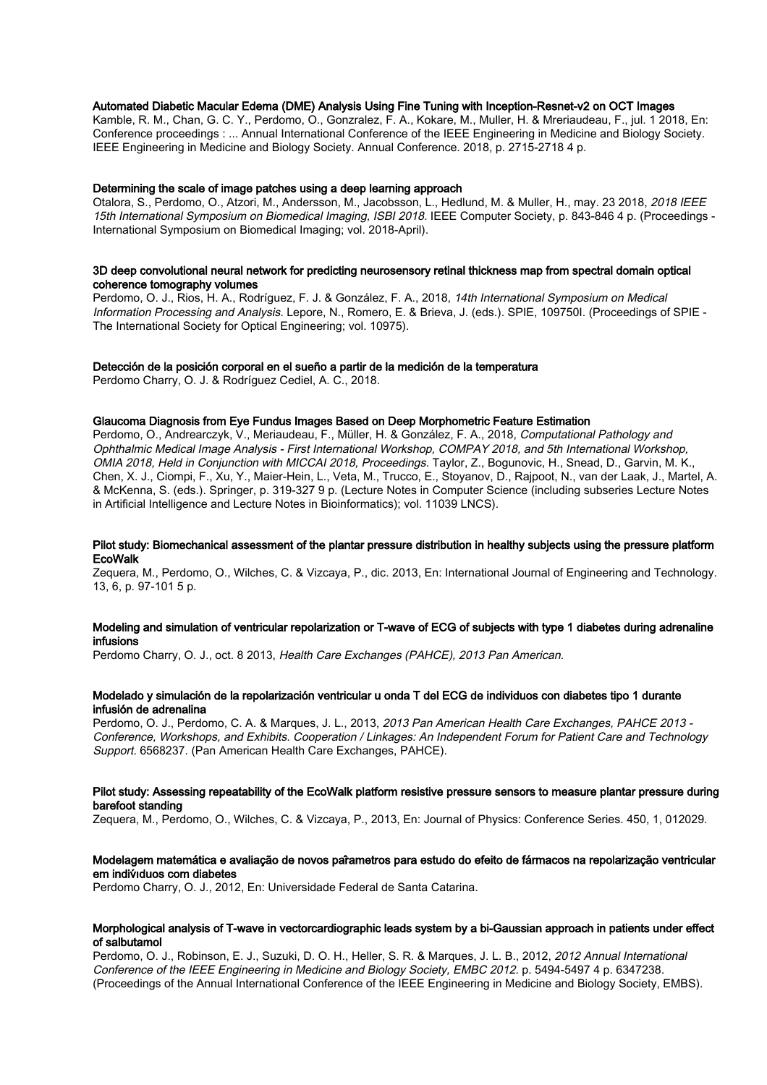## Automated Diabetic Macular Edema (DME) Analysis Using Fine Tuning with Inception-Resnet-v2 on OCT Images

Kamble, R. M., Chan, G. C. Y., Perdomo, O., Gonzralez, F. A., Kokare, M., Muller, H. & Mreriaudeau, F., jul. 1 2018, En: Conference proceedings : ... Annual International Conference of the IEEE Engineering in Medicine and Biology Society. IEEE Engineering in Medicine and Biology Society. Annual Conference. 2018, p. 2715-2718 4 p.

#### Determining the scale of image patches using a deep learning approach

Otalora, S., Perdomo, O., Atzori, M., Andersson, M., Jacobsson, L., Hedlund, M. & Muller, H., may. 23 2018, 2018 IEEE 15th International Symposium on Biomedical Imaging, ISBI 2018. IEEE Computer Society, p. 843-846 4 p. (Proceedings - International Symposium on Biomedical Imaging; vol. 2018-April).

## 3D deep convolutional neural network for predicting neurosensory retinal thickness map from spectral domain optical coherence tomography volumes

Perdomo, O. J., Rios, H. A., Rodríguez, F. J. & González, F. A., 2018, 14th International Symposium on Medical Information Processing and Analysis. Lepore, N., Romero, E. & Brieva, J. (eds.). SPIE, 109750I. (Proceedings of SPIE - The International Society for Optical Engineering; vol. 10975).

## Detección de la posición corporal en el sueño a partir de la medición de la temperatura

Perdomo Charry, O. J. & Rodríguez Cediel, A. C., 2018.

## Glaucoma Diagnosis from Eye Fundus Images Based on Deep Morphometric Feature Estimation

Perdomo, O., Andrearczyk, V., Meriaudeau, F., Müller, H. & González, F. A., 2018, Computational Pathology and Ophthalmic Medical Image Analysis - First International Workshop, COMPAY 2018, and 5th International Workshop, OMIA 2018, Held in Conjunction with MICCAI 2018, Proceedings. Taylor, Z., Bogunovic, H., Snead, D., Garvin, M. K., Chen, X. J., Ciompi, F., Xu, Y., Maier-Hein, L., Veta, M., Trucco, E., Stoyanov, D., Rajpoot, N., van der Laak, J., Martel, A. & McKenna, S. (eds.). Springer, p. 319-327 9 p. (Lecture Notes in Computer Science (including subseries Lecture Notes in Artificial Intelligence and Lecture Notes in Bioinformatics); vol. 11039 LNCS).

#### Pilot study: Biomechanical assessment of the plantar pressure distribution in healthy subjects using the pressure platform EcoWalk

Zequera, M., Perdomo, O., Wilches, C. & Vizcaya, P., dic. 2013, En: International Journal of Engineering and Technology. 13, 6, p. 97-101 5 p.

## Modeling and simulation of ventricular repolarization or T-wave of ECG of subjects with type 1 diabetes during adrenaline infusions

Perdomo Charry, O. J., oct. 8 2013, Health Care Exchanges (PAHCE), 2013 Pan American.

## Modelado y simulación de la repolarización ventricular u onda T del ECG de individuos con diabetes tipo 1 durante infusión de adrenalina

Perdomo, O. J., Perdomo, C. A. & Marques, J. L., 2013, 2013 Pan American Health Care Exchanges, PAHCE 2013 -Conference, Workshops, and Exhibits. Cooperation / Linkages: An Independent Forum for Patient Care and Technology Support. 6568237. (Pan American Health Care Exchanges, PAHCE).

#### Pilot study: Assessing repeatability of the EcoWalk platform resistive pressure sensors to measure plantar pressure during barefoot standing

Zequera, M., Perdomo, O., Wilches, C. & Vizcaya, P., 2013, En: Journal of Physics: Conference Series. 450, 1, 012029.

#### Modelagem matemática e avaliação de novos par̂ametros para estudo do efeito de fármacos na repolarização ventricular em indiv́ıduos com diabetes

Perdomo Charry, O. J., 2012, En: Universidade Federal de Santa Catarina.

#### Morphological analysis of T-wave in vectorcardiographic leads system by a bi-Gaussian approach in patients under effect of salbutamol

Perdomo, O. J., Robinson, E. J., Suzuki, D. O. H., Heller, S. R. & Marques, J. L. B., 2012, 2012 Annual International Conference of the IEEE Engineering in Medicine and Biology Society, EMBC 2012. p. 5494-5497 4 p. 6347238. (Proceedings of the Annual International Conference of the IEEE Engineering in Medicine and Biology Society, EMBS).